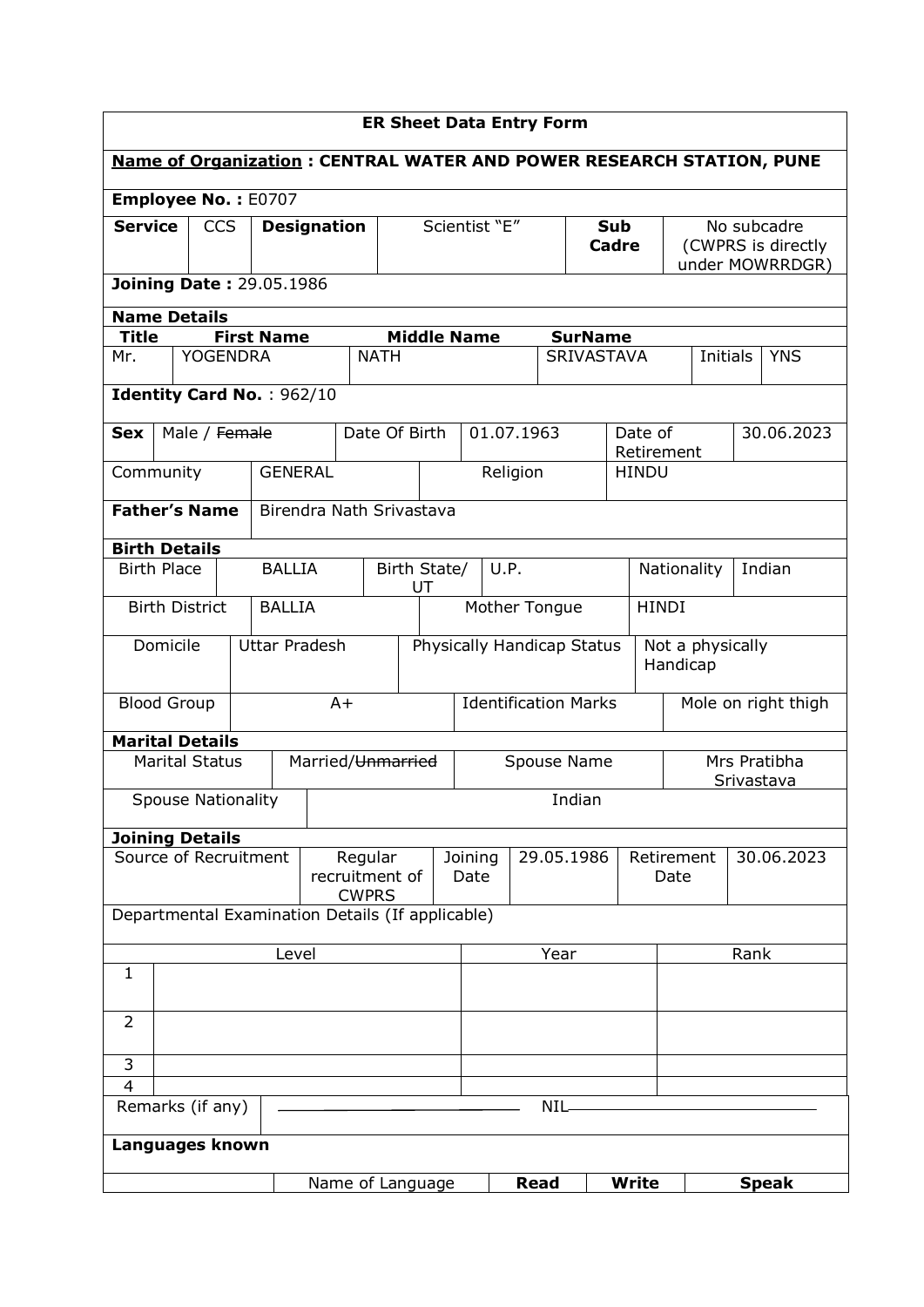| <b>ER Sheet Data Entry Form</b>                  |                           |                 |                           |                                           |                                                                |                               |                 |             |                                     |                            |                    |                                                      |                                                                             |  |
|--------------------------------------------------|---------------------------|-----------------|---------------------------|-------------------------------------------|----------------------------------------------------------------|-------------------------------|-----------------|-------------|-------------------------------------|----------------------------|--------------------|------------------------------------------------------|-----------------------------------------------------------------------------|--|
|                                                  |                           |                 |                           |                                           |                                                                |                               |                 |             |                                     |                            |                    |                                                      | <b>Name of Organization: CENTRAL WATER AND POWER RESEARCH STATION, PUNE</b> |  |
| Employee No.: E0707                              |                           |                 |                           |                                           |                                                                |                               |                 |             |                                     |                            |                    |                                                      |                                                                             |  |
| <b>Service</b>                                   |                           | <b>CCS</b>      | <b>Designation</b>        |                                           |                                                                | Scientist "E"                 |                 |             |                                     | <b>Sub</b><br><b>Cadre</b> |                    | No subcadre<br>(CWPRS is directly<br>under MOWRRDGR) |                                                                             |  |
| <b>Joining Date: 29.05.1986</b>                  |                           |                 |                           |                                           |                                                                |                               |                 |             |                                     |                            |                    |                                                      |                                                                             |  |
|                                                  | <b>Name Details</b>       |                 |                           |                                           |                                                                |                               |                 |             |                                     |                            |                    |                                                      |                                                                             |  |
| <b>Title</b><br>Mr.                              |                           | <b>YOGENDRA</b> | <b>First Name</b>         |                                           | <b>Middle Name</b><br><b>NATH</b>                              |                               |                 |             | <b>SurName</b><br><b>SRIVASTAVA</b> |                            |                    | Initials                                             | <b>YNS</b>                                                                  |  |
|                                                  |                           |                 |                           |                                           |                                                                |                               |                 |             |                                     |                            |                    |                                                      |                                                                             |  |
|                                                  |                           |                 | Identity Card No.: 962/10 |                                           |                                                                |                               |                 |             |                                     |                            |                    |                                                      |                                                                             |  |
| <b>Sex</b>                                       | Male / Female             |                 |                           |                                           | Date Of Birth                                                  |                               |                 | 01.07.1963  |                                     | Date of                    | Retirement         |                                                      | 30.06.2023                                                                  |  |
|                                                  | Community                 |                 | <b>GENERAL</b>            |                                           |                                                                |                               |                 | Religion    |                                     | <b>HINDU</b>               |                    |                                                      |                                                                             |  |
|                                                  | <b>Father's Name</b>      |                 |                           | Birendra Nath Srivastava                  |                                                                |                               |                 |             |                                     |                            |                    |                                                      |                                                                             |  |
|                                                  | <b>Birth Details</b>      |                 |                           |                                           |                                                                |                               |                 |             |                                     |                            |                    |                                                      |                                                                             |  |
|                                                  | <b>Birth Place</b>        |                 | <b>BALLIA</b>             |                                           | UT                                                             | Birth State/<br>U.P.          |                 |             |                                     | Indian<br>Nationality      |                    |                                                      |                                                                             |  |
|                                                  | <b>Birth District</b>     |                 | <b>BALLIA</b>             |                                           |                                                                | <b>HINDI</b><br>Mother Tongue |                 |             |                                     |                            |                    |                                                      |                                                                             |  |
|                                                  | Domicile                  |                 | <b>Uttar Pradesh</b>      |                                           | Physically Handicap Status<br>Not a physically<br>Handicap     |                               |                 |             |                                     |                            |                    |                                                      |                                                                             |  |
|                                                  | <b>Blood Group</b>        |                 |                           | $A+$                                      | Identification Marks                                           |                               |                 |             |                                     | Mole on right thigh        |                    |                                                      |                                                                             |  |
|                                                  | <b>Marital Details</b>    |                 |                           |                                           |                                                                |                               |                 |             |                                     |                            |                    |                                                      |                                                                             |  |
|                                                  | <b>Marital Status</b>     |                 |                           |                                           | Married/Unmarried<br>Mrs Pratibha<br>Spouse Name<br>Srivastava |                               |                 |             |                                     |                            |                    |                                                      |                                                                             |  |
|                                                  | <b>Spouse Nationality</b> |                 |                           |                                           |                                                                | Indian                        |                 |             |                                     |                            |                    |                                                      |                                                                             |  |
|                                                  | <b>Joining Details</b>    |                 |                           |                                           |                                                                |                               |                 |             |                                     |                            |                    |                                                      |                                                                             |  |
|                                                  | Source of Recruitment     |                 |                           | Regular<br>recruitment of<br><b>CWPRS</b> |                                                                |                               | Joining<br>Date |             | 29.05.1986                          |                            | Retirement<br>Date |                                                      | 30.06.2023                                                                  |  |
| Departmental Examination Details (If applicable) |                           |                 |                           |                                           |                                                                |                               |                 |             |                                     |                            |                    |                                                      |                                                                             |  |
|                                                  |                           |                 | Level                     |                                           |                                                                |                               |                 |             | Year                                |                            |                    | Rank                                                 |                                                                             |  |
|                                                  | 1                         |                 |                           |                                           |                                                                |                               |                 |             |                                     |                            |                    |                                                      |                                                                             |  |
| $\overline{2}$                                   |                           |                 |                           |                                           |                                                                |                               |                 |             |                                     |                            |                    |                                                      |                                                                             |  |
| 3                                                |                           |                 |                           |                                           |                                                                |                               |                 |             |                                     |                            |                    |                                                      |                                                                             |  |
| $\overline{4}$                                   |                           |                 |                           |                                           |                                                                |                               |                 |             |                                     |                            |                    |                                                      |                                                                             |  |
|                                                  | Remarks (if any)          |                 |                           |                                           |                                                                |                               |                 | <b>NIL</b>  |                                     |                            |                    |                                                      |                                                                             |  |
|                                                  | Languages known           |                 |                           |                                           |                                                                |                               |                 |             |                                     |                            |                    |                                                      |                                                                             |  |
|                                                  |                           |                 |                           | Name of Language                          |                                                                |                               |                 | <b>Read</b> |                                     | <b>Write</b>               |                    |                                                      | <b>Speak</b>                                                                |  |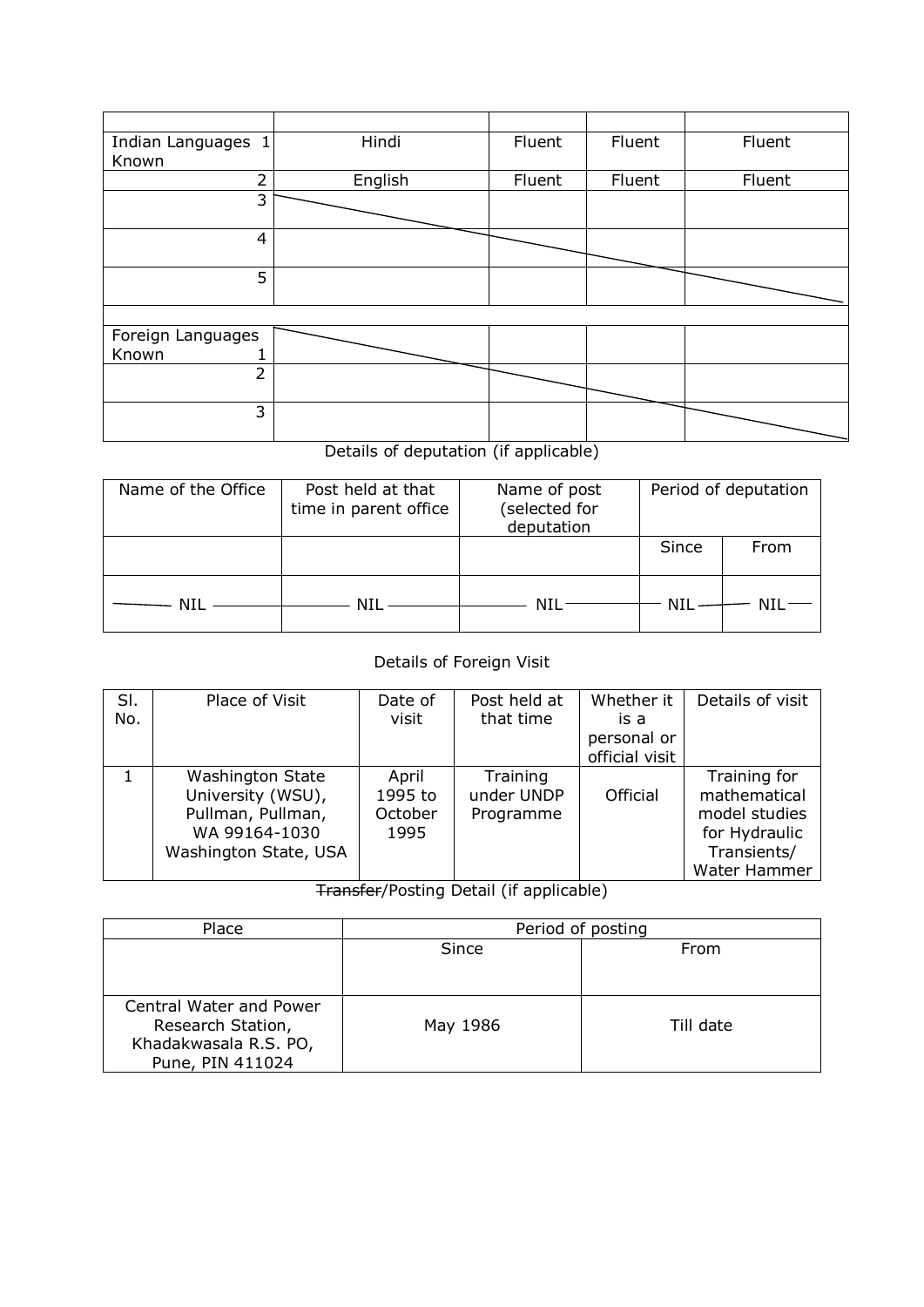| Indian Languages 1<br>Known | Hindi   | Fluent | Fluent | Fluent |
|-----------------------------|---------|--------|--------|--------|
| $\overline{2}$              | English | Fluent | Fluent | Fluent |
| 3                           |         |        |        |        |
| 4                           |         |        |        |        |
| 5                           |         |        |        |        |
|                             |         |        |        |        |
| Foreign Languages<br>Known  |         |        |        |        |
| $\overline{2}$              |         |        |        |        |
| 3                           |         |        |        |        |

## Details of deputation (if applicable)

| Name of the Office | Post held at that<br>time in parent office | Name of post<br>(selected for<br>deputation |       | Period of deputation |
|--------------------|--------------------------------------------|---------------------------------------------|-------|----------------------|
|                    |                                            |                                             | Since | From                 |
| - NII -            | – NIL —                                    | NIL-                                        | NIL   | NIL                  |

## Details of Foreign Visit

| SI.<br>No. | Place of Visit                                                                                       | Date of<br>visit                    | Post held at<br>that time           | Whether it<br>is a<br>personal or<br>official visit | Details of visit                                                                              |
|------------|------------------------------------------------------------------------------------------------------|-------------------------------------|-------------------------------------|-----------------------------------------------------|-----------------------------------------------------------------------------------------------|
|            | Washington State<br>University (WSU),<br>Pullman, Pullman,<br>WA 99164-1030<br>Washington State, USA | April<br>1995 to<br>October<br>1995 | Training<br>under UNDP<br>Programme | Official                                            | Training for<br>mathematical<br>model studies<br>for Hydraulic<br>Transients/<br>Water Hammer |

## Transfer/Posting Detail (if applicable)

| Place                                                                                     | Period of posting |           |  |  |  |
|-------------------------------------------------------------------------------------------|-------------------|-----------|--|--|--|
|                                                                                           | Since             | From      |  |  |  |
| Central Water and Power<br>Research Station,<br>Khadakwasala R.S. PO,<br>Pune, PIN 411024 | May 1986          | Till date |  |  |  |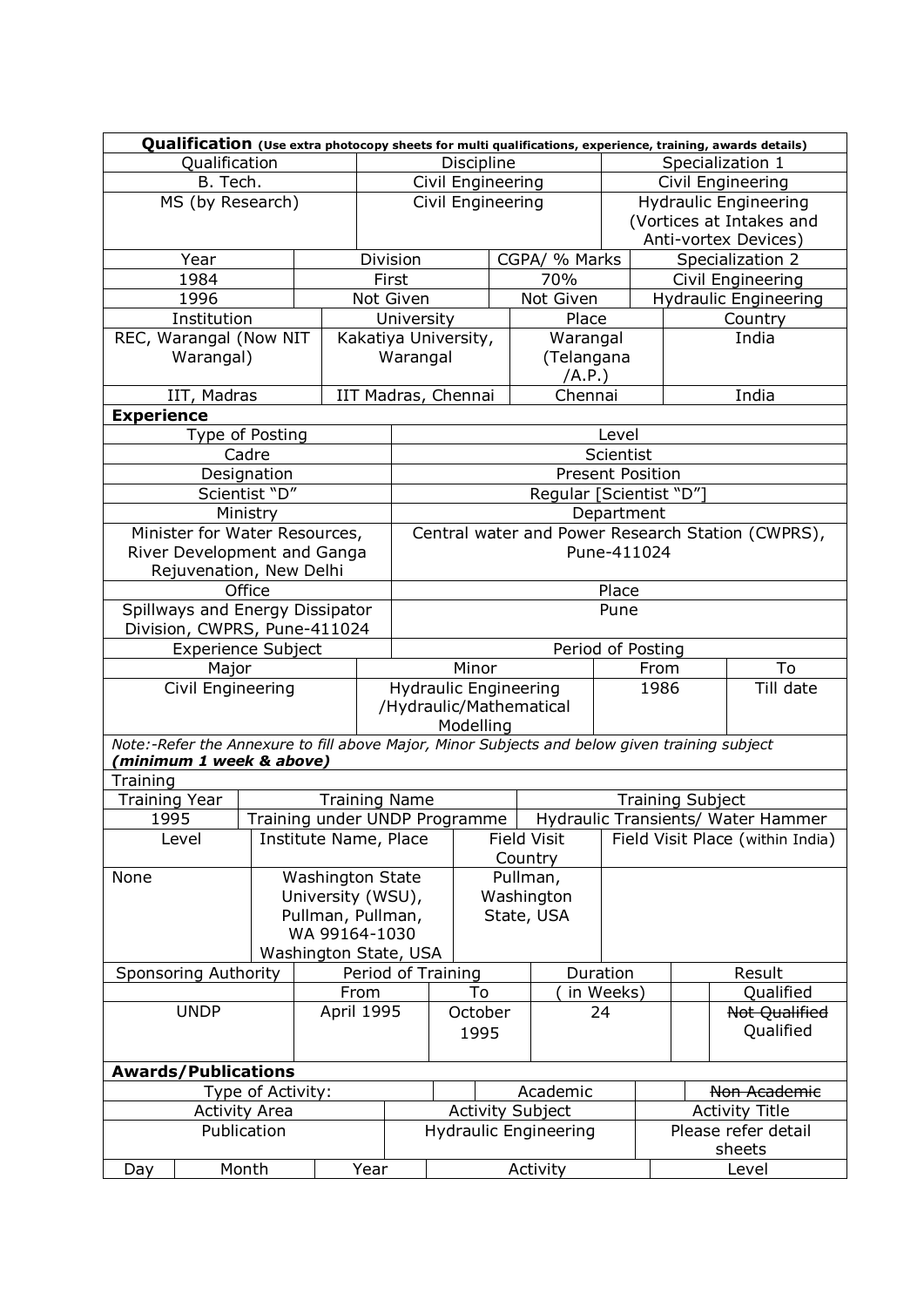|                                              | Qualification (Use extra photocopy sheets for multi qualifications, experience, training, awards details) |                      |                                                                                               |                           |                               |                                                   |  |                              |                  |                                                   |                         |                                                   |
|----------------------------------------------|-----------------------------------------------------------------------------------------------------------|----------------------|-----------------------------------------------------------------------------------------------|---------------------------|-------------------------------|---------------------------------------------------|--|------------------------------|------------------|---------------------------------------------------|-------------------------|---------------------------------------------------|
| Qualification                                |                                                                                                           |                      |                                                                                               | <b>Discipline</b>         |                               |                                                   |  |                              | Specialization 1 |                                                   |                         |                                                   |
| B. Tech.                                     |                                                                                                           |                      | Civil Engineering                                                                             |                           |                               |                                                   |  | Civil Engineering            |                  |                                                   |                         |                                                   |
|                                              | MS (by Research)                                                                                          |                      |                                                                                               |                           |                               | Civil Engineering<br><b>Hydraulic Engineering</b> |  |                              |                  |                                                   |                         |                                                   |
|                                              |                                                                                                           |                      |                                                                                               |                           |                               | (Vortices at Intakes and                          |  |                              |                  |                                                   |                         |                                                   |
|                                              |                                                                                                           |                      |                                                                                               |                           |                               | Anti-vortex Devices)                              |  |                              |                  |                                                   |                         |                                                   |
|                                              | Year                                                                                                      |                      |                                                                                               | CGPA/ % Marks<br>Division |                               |                                                   |  |                              | Specialization 2 |                                                   |                         |                                                   |
|                                              | 1984                                                                                                      |                      |                                                                                               |                           | First                         |                                                   |  | 70%                          |                  |                                                   |                         |                                                   |
|                                              | 1996                                                                                                      |                      |                                                                                               |                           | Not Given                     |                                                   |  | Not Given                    |                  | Civil Engineering<br><b>Hydraulic Engineering</b> |                         |                                                   |
|                                              | Institution                                                                                               |                      |                                                                                               |                           | University                    |                                                   |  | Place                        |                  |                                                   |                         | Country                                           |
|                                              |                                                                                                           |                      |                                                                                               |                           |                               |                                                   |  |                              |                  |                                                   |                         | India                                             |
|                                              | REC, Warangal (Now NIT                                                                                    |                      |                                                                                               |                           | Kakatiya University,          |                                                   |  | Warangal                     |                  |                                                   |                         |                                                   |
|                                              | Warangal)                                                                                                 |                      |                                                                                               |                           | Warangal                      |                                                   |  | (Telangana                   |                  |                                                   |                         |                                                   |
|                                              |                                                                                                           |                      |                                                                                               |                           |                               |                                                   |  | /A.P.)                       |                  |                                                   |                         |                                                   |
|                                              | IIT, Madras                                                                                               |                      |                                                                                               |                           | IIT Madras, Chennai           |                                                   |  | Chennai                      |                  |                                                   |                         | India                                             |
| <b>Experience</b>                            |                                                                                                           |                      |                                                                                               |                           |                               |                                                   |  |                              |                  |                                                   |                         |                                                   |
|                                              | <b>Type of Posting</b>                                                                                    |                      |                                                                                               |                           |                               |                                                   |  |                              | Level            |                                                   |                         |                                                   |
|                                              |                                                                                                           | Cadre                |                                                                                               |                           |                               |                                                   |  |                              | Scientist        |                                                   |                         |                                                   |
|                                              |                                                                                                           | Designation          |                                                                                               |                           |                               |                                                   |  | <b>Present Position</b>      |                  |                                                   |                         |                                                   |
|                                              |                                                                                                           | Scientist "D"        |                                                                                               |                           |                               |                                                   |  | Regular [Scientist "D"]      |                  |                                                   |                         |                                                   |
|                                              |                                                                                                           | Ministry             |                                                                                               |                           |                               |                                                   |  |                              | Department       |                                                   |                         |                                                   |
|                                              | Minister for Water Resources,                                                                             |                      |                                                                                               |                           |                               |                                                   |  |                              |                  |                                                   |                         | Central water and Power Research Station (CWPRS), |
|                                              | River Development and Ganga                                                                               |                      |                                                                                               |                           |                               |                                                   |  |                              | Pune-411024      |                                                   |                         |                                                   |
|                                              | Rejuvenation, New Delhi                                                                                   |                      |                                                                                               |                           |                               |                                                   |  |                              |                  |                                                   |                         |                                                   |
|                                              |                                                                                                           | Office               |                                                                                               |                           |                               |                                                   |  |                              | Place            |                                                   |                         |                                                   |
|                                              | Spillways and Energy Dissipator                                                                           |                      |                                                                                               |                           |                               | Pune                                              |  |                              |                  |                                                   |                         |                                                   |
|                                              | Division, CWPRS, Pune-411024                                                                              |                      |                                                                                               |                           |                               |                                                   |  |                              |                  |                                                   |                         |                                                   |
|                                              | <b>Experience Subject</b>                                                                                 |                      |                                                                                               |                           | Period of Posting             |                                                   |  |                              |                  |                                                   |                         |                                                   |
|                                              | Major                                                                                                     |                      |                                                                                               |                           | To<br>Minor<br>From           |                                                   |  |                              |                  |                                                   |                         |                                                   |
|                                              | Civil Engineering                                                                                         |                      |                                                                                               |                           | <b>Hydraulic Engineering</b>  |                                                   |  |                              | 1986             |                                                   | Till date               |                                                   |
|                                              |                                                                                                           |                      |                                                                                               |                           | /Hydraulic/Mathematical       |                                                   |  |                              |                  |                                                   |                         |                                                   |
|                                              |                                                                                                           |                      |                                                                                               |                           |                               | Modelling                                         |  |                              |                  |                                                   |                         |                                                   |
|                                              |                                                                                                           |                      |                                                                                               |                           |                               |                                                   |  |                              |                  |                                                   |                         |                                                   |
|                                              | (minimum 1 week & above)                                                                                  |                      | Note:-Refer the Annexure to fill above Major, Minor Subjects and below given training subject |                           |                               |                                                   |  |                              |                  |                                                   |                         |                                                   |
|                                              |                                                                                                           |                      |                                                                                               |                           |                               |                                                   |  |                              |                  |                                                   |                         |                                                   |
|                                              | Training                                                                                                  |                      |                                                                                               |                           |                               |                                                   |  |                              |                  |                                                   |                         |                                                   |
| <b>Training Year</b><br><b>Training Name</b> |                                                                                                           |                      |                                                                                               |                           |                               |                                                   |  |                              |                  |                                                   |                         |                                                   |
|                                              |                                                                                                           |                      |                                                                                               |                           |                               |                                                   |  |                              |                  |                                                   | <b>Training Subject</b> |                                                   |
| 1995                                         |                                                                                                           |                      |                                                                                               |                           | Training under UNDP Programme |                                                   |  |                              |                  |                                                   |                         | Hydraulic Transients/ Water Hammer                |
|                                              | Level                                                                                                     |                      | Institute Name, Place                                                                         |                           |                               |                                                   |  | <b>Field Visit</b>           |                  |                                                   |                         | Field Visit Place (within India)                  |
|                                              |                                                                                                           |                      |                                                                                               |                           |                               |                                                   |  | Country                      |                  |                                                   |                         |                                                   |
| None                                         |                                                                                                           |                      | <b>Washington State</b>                                                                       |                           |                               |                                                   |  | Pullman,                     |                  |                                                   |                         |                                                   |
|                                              |                                                                                                           |                      | University (WSU),                                                                             |                           |                               |                                                   |  | Washington                   |                  |                                                   |                         |                                                   |
|                                              |                                                                                                           |                      | Pullman, Pullman,                                                                             |                           |                               |                                                   |  | State, USA                   |                  |                                                   |                         |                                                   |
|                                              |                                                                                                           |                      | WA 99164-1030                                                                                 |                           |                               |                                                   |  |                              |                  |                                                   |                         |                                                   |
|                                              |                                                                                                           |                      |                                                                                               |                           | Washington State, USA         |                                                   |  |                              |                  |                                                   |                         |                                                   |
|                                              | <b>Sponsoring Authority</b>                                                                               |                      |                                                                                               |                           | Period of Training            |                                                   |  |                              | Duration         |                                                   |                         | Result                                            |
|                                              |                                                                                                           |                      |                                                                                               | From                      |                               | To                                                |  |                              | in Weeks)        |                                                   |                         | Qualified                                         |
|                                              | <b>UNDP</b>                                                                                               |                      | April 1995                                                                                    |                           |                               | October                                           |  |                              | 24               |                                                   |                         | <b>Not Qualified</b>                              |
|                                              |                                                                                                           |                      |                                                                                               |                           |                               | 1995                                              |  |                              |                  |                                                   |                         | Qualified                                         |
|                                              |                                                                                                           |                      |                                                                                               |                           |                               |                                                   |  |                              |                  |                                                   |                         |                                                   |
|                                              | <b>Awards/Publications</b>                                                                                |                      |                                                                                               |                           |                               |                                                   |  |                              |                  |                                                   |                         |                                                   |
|                                              |                                                                                                           |                      |                                                                                               |                           |                               |                                                   |  | Academic                     |                  |                                                   |                         | Non Academic                                      |
|                                              |                                                                                                           | Type of Activity:    |                                                                                               |                           |                               |                                                   |  |                              |                  |                                                   |                         |                                                   |
|                                              |                                                                                                           | <b>Activity Area</b> |                                                                                               |                           |                               |                                                   |  | <b>Activity Subject</b>      |                  |                                                   |                         | <b>Activity Title</b>                             |
|                                              |                                                                                                           | Publication          |                                                                                               |                           |                               |                                                   |  | <b>Hydraulic Engineering</b> |                  |                                                   |                         | Please refer detail                               |
| Day                                          |                                                                                                           | Month                |                                                                                               | Year                      |                               |                                                   |  | Activity                     |                  |                                                   |                         | sheets<br>Level                                   |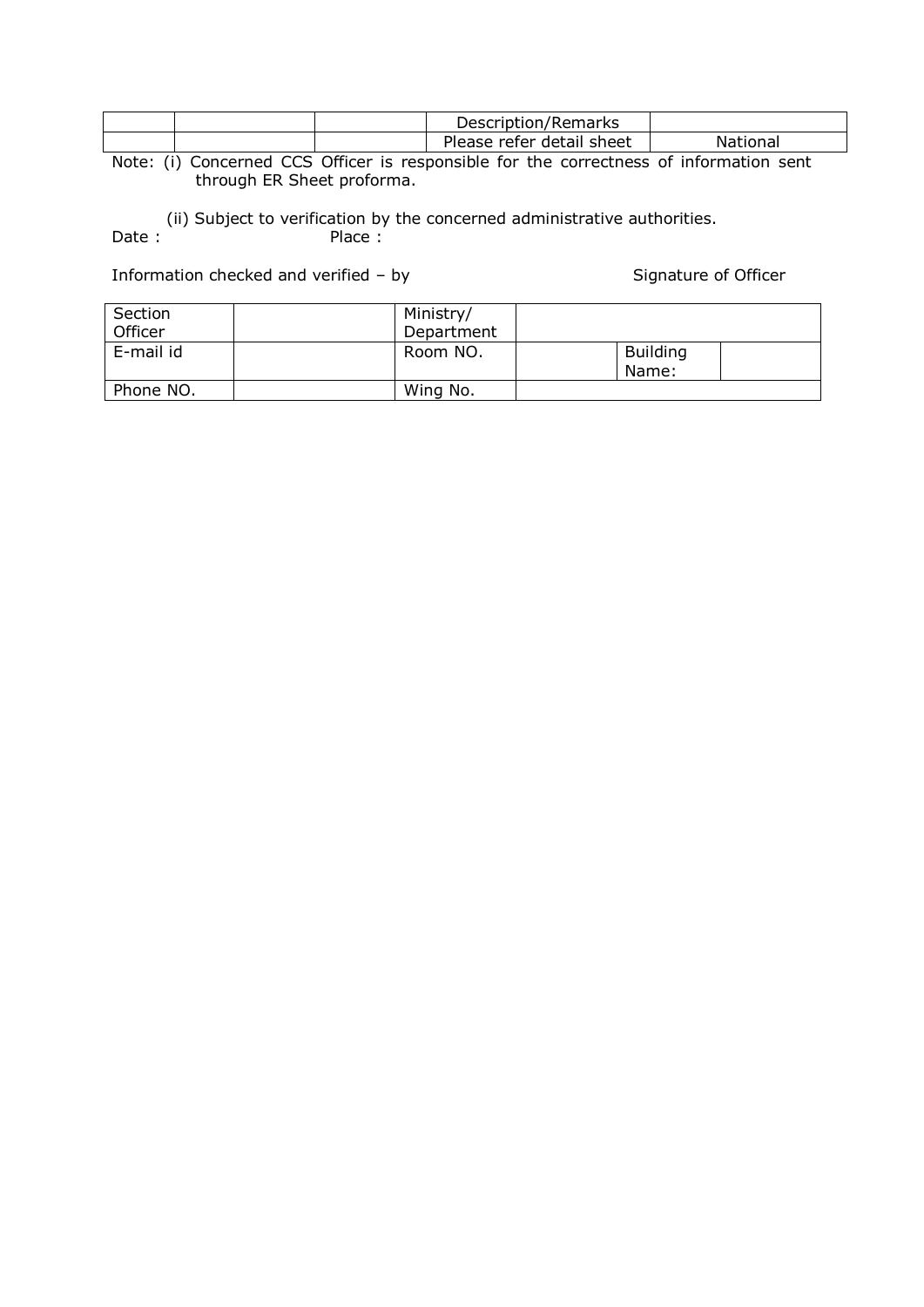|        | Description/Remarks            |          |
|--------|--------------------------------|----------|
|        | Please<br>refer detail sheet ! | National |
| .<br>. | ____                           | _______  |

Note: (i) Concerned CCS Officer is responsible for the correctness of information sent through ER Sheet proforma.

(ii) Subject to verification by the concerned administrative authorities.<br>
Date: Place:  $Place:$ 

Information checked and verified – by Signature of Officer

| Section<br>Officer | Ministry/<br>Department |                          |  |
|--------------------|-------------------------|--------------------------|--|
| E-mail id          | Room NO.                | <b>Building</b><br>Name: |  |
| Phone NO.          | Wing No.                |                          |  |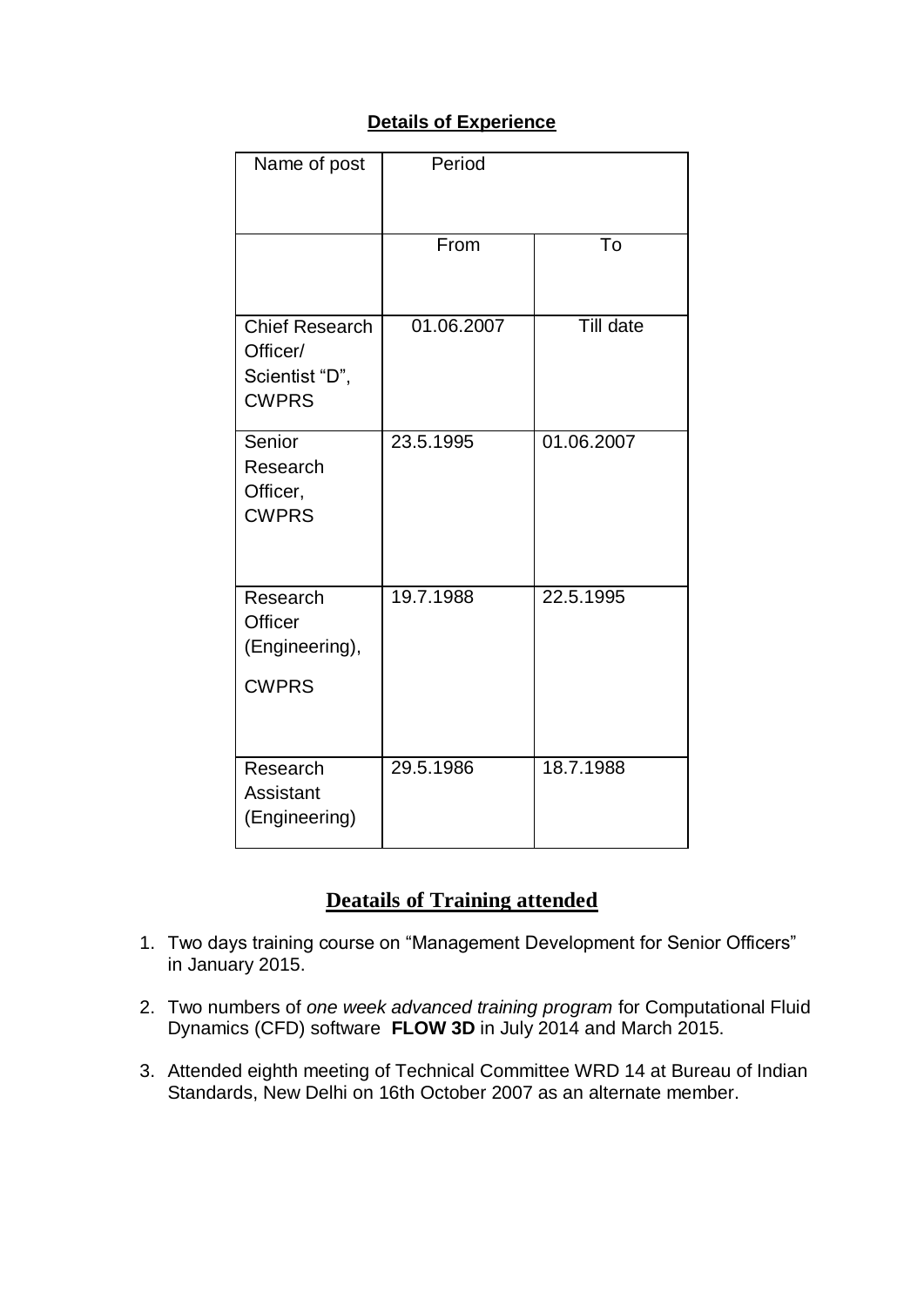## **Details of Experience**

| Name of post                                                        | Period     |            |
|---------------------------------------------------------------------|------------|------------|
|                                                                     | From       | To         |
| <b>Chief Research</b><br>Officer/<br>Scientist "D",<br><b>CWPRS</b> | 01.06.2007 | Till date  |
| Senior<br>Research<br>Officer,<br><b>CWPRS</b>                      | 23.5.1995  | 01.06.2007 |
| Research<br><b>Officer</b><br>(Engineering),<br><b>CWPRS</b>        | 19.7.1988  | 22.5.1995  |
| Research<br>Assistant<br>(Engineering)                              | 29.5.1986  | 18.7.1988  |

# **Deatails of Training attended**

- 1. Two days training course on "Management Development for Senior Officers" in January 2015.
- 2. Two numbers of *one week advanced training program* for Computational Fluid Dynamics (CFD) software **FLOW 3D** in July 2014 and March 2015.
- 3. Attended eighth meeting of Technical Committee WRD 14 at Bureau of Indian Standards, New Delhi on 16th October 2007 as an alternate member.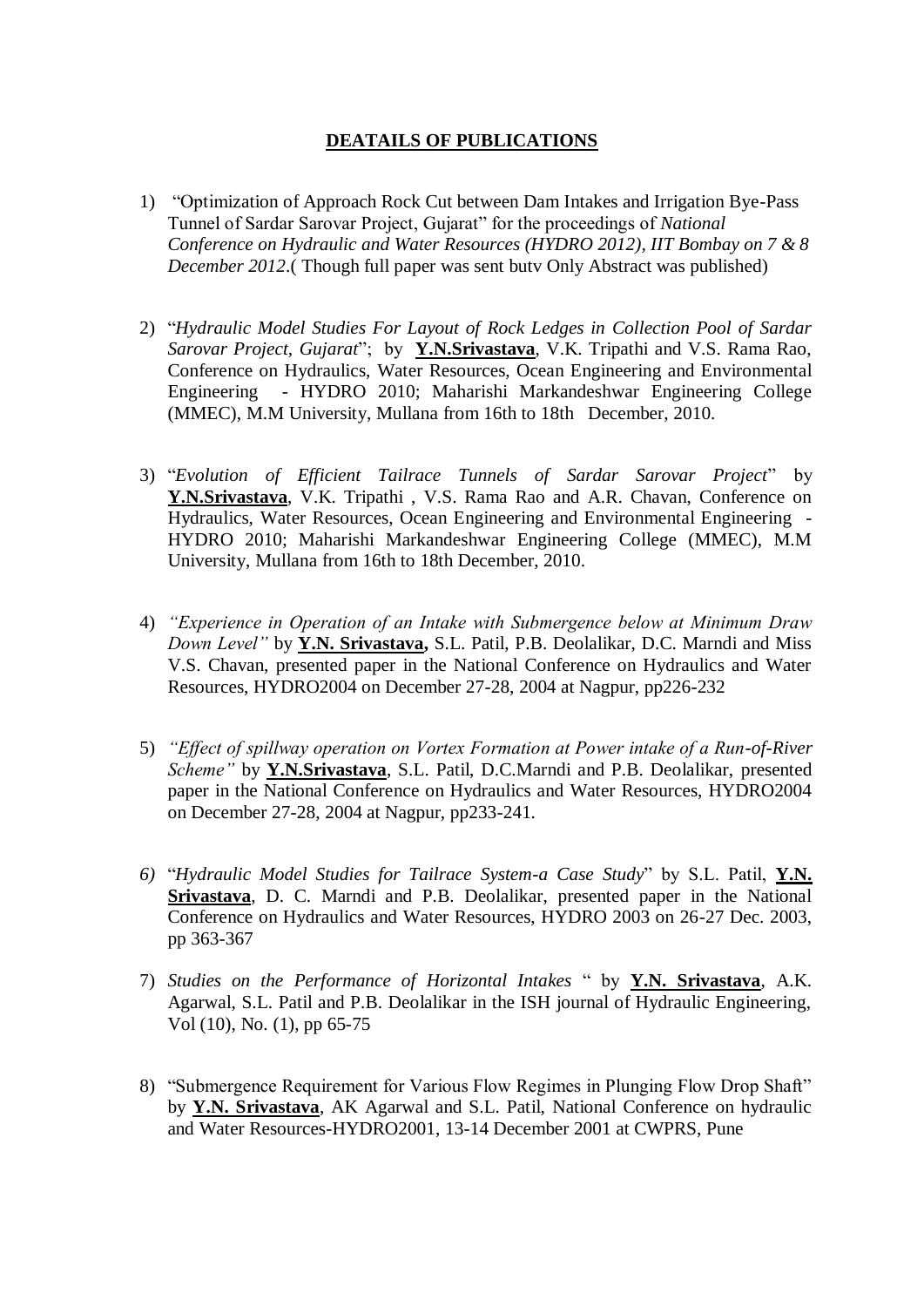### **DEATAILS OF PUBLICATIONS**

- 1) "Optimization of Approach Rock Cut between Dam Intakes and Irrigation Bye-Pass Tunnel of Sardar Sarovar Project, Gujarat" for the proceedings of *National Conference on Hydraulic and Water Resources (HYDRO 2012), IIT Bombay on 7 & 8 December 2012*.( Though full paper was sent butv Only Abstract was published)
- 2) "*Hydraulic Model Studies For Layout of Rock Ledges in Collection Pool of Sardar Sarovar Project, Gujarat*"; by **Y.N.Srivastava**, V.K. Tripathi and V.S. Rama Rao, Conference on Hydraulics, Water Resources, Ocean Engineering and Environmental Engineering - HYDRO 2010; Maharishi Markandeshwar Engineering College (MMEC), M.M University, Mullana from 16th to 18th December, 2010.
- 3) "*Evolution of Efficient Tailrace Tunnels of Sardar Sarovar Project*" by **Y.N.Srivastava**, V.K. Tripathi , V.S. Rama Rao and A.R. Chavan, Conference on Hydraulics, Water Resources, Ocean Engineering and Environmental Engineering - HYDRO 2010; Maharishi Markandeshwar Engineering College (MMEC), M.M University, Mullana from 16th to 18th December, 2010.
- 4) *"Experience in Operation of an Intake with Submergence below at Minimum Draw Down Level"* by **Y.N. Srivastava,** S.L. Patil, P.B. Deolalikar, D.C. Marndi and Miss V.S. Chavan, presented paper in the National Conference on Hydraulics and Water Resources, HYDRO2004 on December 27-28, 2004 at Nagpur, pp226-232
- 5) *"Effect of spillway operation on Vortex Formation at Power intake of a Run-of-River Scheme"* by **Y.N.Srivastava**, S.L. Patil, D.C.Marndi and P.B. Deolalikar, presented paper in the National Conference on Hydraulics and Water Resources, HYDRO2004 on December 27-28, 2004 at Nagpur, pp233-241.
- *6)* "*Hydraulic Model Studies for Tailrace System-a Case Study*" by S.L. Patil, **Y.N. Srivastava**, D. C. Marndi and P.B. Deolalikar, presented paper in the National Conference on Hydraulics and Water Resources, HYDRO 2003 on 26-27 Dec. 2003, pp 363-367
- 7) *Studies on the Performance of Horizontal Intakes* " by **Y.N. Srivastava**, A.K. Agarwal, S.L. Patil and P.B. Deolalikar in the ISH journal of Hydraulic Engineering, Vol (10), No. (1), pp 65-75
- 8) "Submergence Requirement for Various Flow Regimes in Plunging Flow Drop Shaft" by **Y.N. Srivastava**, AK Agarwal and S.L. Patil, National Conference on hydraulic and Water Resources-HYDRO2001, 13-14 December 2001 at CWPRS, Pune